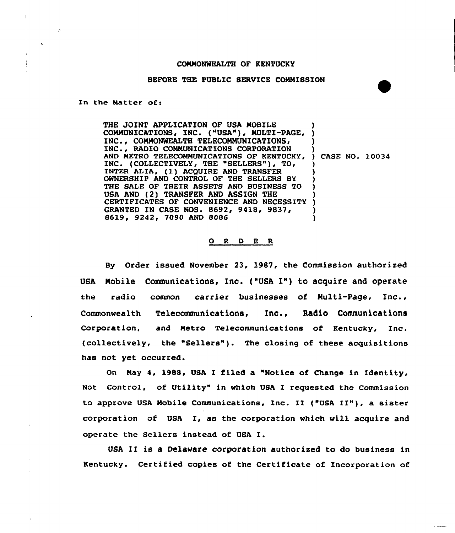## COMMONWEALTH OF KENTUCKY

## BEFORE THE PUBLIC SERVICE COMMISSION

In the Matter of:

THE JOINT APPLICATION OF USA MOBILE THE JOINT APPLICATION OF USA MOBILE<br>COMMUNICATIONS, INC. ("USA"), MULTI-PAGE, ) INC., COMMONWEALTH TELECOMMUNICATIONS, INC., RADIO COMMUNICATIONS CORPORATION AND METRO TELECOMMUNICATIONS OF KENTUCKY, INC. (COLLECTIVELY, THE "SELLERS"), TO, INTER ALIA, (1) ACQUIRE AND TRANSFER OWNERSHIP AND CONTROL OF THE SELLERS BY THE SALE OF THEIR ASSETS AND BUSINESS TO USA. AND (2) TRANSFER AND ASSIGN THE CERTIFICATES OF CONVENIENCE AND NECESSITY GRANTED IN CASE NOS. 8692, 9418, 9837, 8619, 9242, 7090 AND 8086 ) ) ) ) CASE NO. 10034 ) ) ) ) ) ) ) )

## 0 <sup>R</sup> <sup>D</sup> E <sup>R</sup>

By Order issued November 23, 1987, the Commission authorised USA Mobile Communications, Inc. ("USA I") to acquire and operate the radio common carrier businesses of Multi-Page, Inc., Commonwealth Telecommunications, Inc., Radio Communications Corporation, and Metro Telecommunications of Kentucky, Inc. (collectively, the "Sellers"). The closing of these acquisitions has not yet occurred.

On May 4, 1988, USA I filed a "Notice of Change in Identity, Not Control, of Utility" in which USA I requested the Commission to approve USA Mobile Communications, Inc. II ("USA II"), <sup>a</sup> sister corporation of USA I, as the corporation which will acquire and operate the Sellers instead of USA I.

USA II is a Delaware corporation authorised to do business in Kentucky. Certified copies of the Certificate of Incorporation of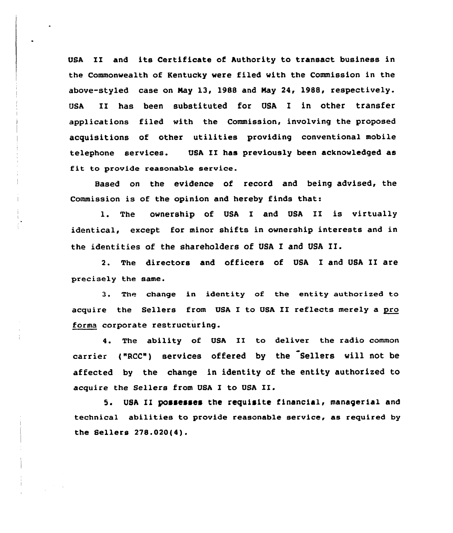USA II and its Certificate of Authority to transact business in the Commonwealth of Kentucky were filed with the Commission in the above-styled case on Nay 13, 1988 and Nay 24, 1988, respectively. USA II has been substituted for USA I in other transfer applications filed with the Commission, involving the proposed acquisitions of other utilities providing conventional mobile telephone services. USA II has previously been acknowledged as fit to provide reasonable service.

Hased on the evidence of record and being advised, the Commission is of the opinion and hereby finds that:

1. The ownership of USA I and USA II is virtually identical, except for minor shifts in ownership interests and in the identities of the shareholders of USA I and USA II.

2. The directors and officers of USA I and USA II are precisely the same.

3. The change in identity of the entity authorized to acquire the Sellers from USA I to USA II reflects merely a pro forma corporate restructuring.

4. The ability of USA II to deliver the radio common carrier ("RCC") services offered by the Sellers will not be affected by the change in identity of the entity authorized to acquire the Sellers from USA I to USA II.

5. USA II possesses the requisite financial, managerial and technical abilities to provide reasonable service, as required by the Sellers 278.020(4).